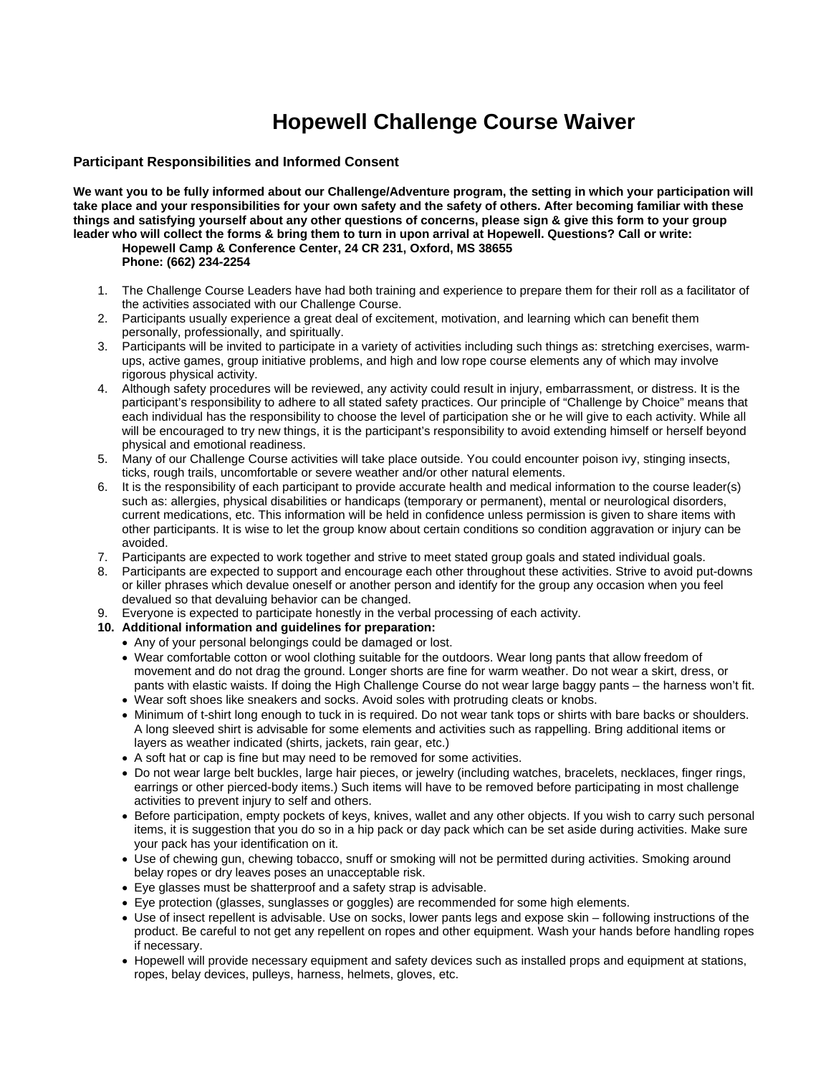## **Hopewell Challenge Course Waiver**

## **Participant Responsibilities and Informed Consent**

**We want you to be fully informed about our Challenge/Adventure program, the setting in which your participation will take place and your responsibilities for your own safety and the safety of others. After becoming familiar with these things and satisfying yourself about any other questions of concerns, please sign & give this form to your group leader who will collect the forms & bring them to turn in upon arrival at Hopewell. Questions? Call or write:** 

**Hopewell Camp & Conference Center, 24 CR 231, Oxford, MS 38655 Phone: (662) 234-2254** 

- 1. The Challenge Course Leaders have had both training and experience to prepare them for their roll as a facilitator of the activities associated with our Challenge Course.
- 2. Participants usually experience a great deal of excitement, motivation, and learning which can benefit them personally, professionally, and spiritually.
- 3. Participants will be invited to participate in a variety of activities including such things as: stretching exercises, warmups, active games, group initiative problems, and high and low rope course elements any of which may involve rigorous physical activity.
- 4. Although safety procedures will be reviewed, any activity could result in injury, embarrassment, or distress. It is the participant's responsibility to adhere to all stated safety practices. Our principle of "Challenge by Choice" means that each individual has the responsibility to choose the level of participation she or he will give to each activity. While all will be encouraged to try new things, it is the participant's responsibility to avoid extending himself or herself beyond physical and emotional readiness.
- 5. Many of our Challenge Course activities will take place outside. You could encounter poison ivy, stinging insects, ticks, rough trails, uncomfortable or severe weather and/or other natural elements.
- 6. It is the responsibility of each participant to provide accurate health and medical information to the course leader(s) such as: allergies, physical disabilities or handicaps (temporary or permanent), mental or neurological disorders, current medications, etc. This information will be held in confidence unless permission is given to share items with other participants. It is wise to let the group know about certain conditions so condition aggravation or injury can be avoided.
- 7. Participants are expected to work together and strive to meet stated group goals and stated individual goals.
- 8. Participants are expected to support and encourage each other throughout these activities. Strive to avoid put-downs or killer phrases which devalue oneself or another person and identify for the group any occasion when you feel devalued so that devaluing behavior can be changed.
- 9. Everyone is expected to participate honestly in the verbal processing of each activity.
- **10. Additional information and guidelines for preparation:** 
	- Any of your personal belongings could be damaged or lost.
		- Wear comfortable cotton or wool clothing suitable for the outdoors. Wear long pants that allow freedom of movement and do not drag the ground. Longer shorts are fine for warm weather. Do not wear a skirt, dress, or pants with elastic waists. If doing the High Challenge Course do not wear large baggy pants – the harness won't fit.
		- Wear soft shoes like sneakers and socks. Avoid soles with protruding cleats or knobs.
		- Minimum of t-shirt long enough to tuck in is required. Do not wear tank tops or shirts with bare backs or shoulders. A long sleeved shirt is advisable for some elements and activities such as rappelling. Bring additional items or layers as weather indicated (shirts, jackets, rain gear, etc.)
		- A soft hat or cap is fine but may need to be removed for some activities.
		- Do not wear large belt buckles, large hair pieces, or jewelry (including watches, bracelets, necklaces, finger rings, earrings or other pierced-body items.) Such items will have to be removed before participating in most challenge activities to prevent injury to self and others.
	- Before participation, empty pockets of keys, knives, wallet and any other objects. If you wish to carry such personal items, it is suggestion that you do so in a hip pack or day pack which can be set aside during activities. Make sure your pack has your identification on it.
	- Use of chewing gun, chewing tobacco, snuff or smoking will not be permitted during activities. Smoking around belay ropes or dry leaves poses an unacceptable risk.
	- Eye glasses must be shatterproof and a safety strap is advisable.
	- Eye protection (glasses, sunglasses or goggles) are recommended for some high elements.
	- Use of insect repellent is advisable. Use on socks, lower pants legs and expose skin following instructions of the product. Be careful to not get any repellent on ropes and other equipment. Wash your hands before handling ropes if necessary.
	- Hopewell will provide necessary equipment and safety devices such as installed props and equipment at stations, ropes, belay devices, pulleys, harness, helmets, gloves, etc.